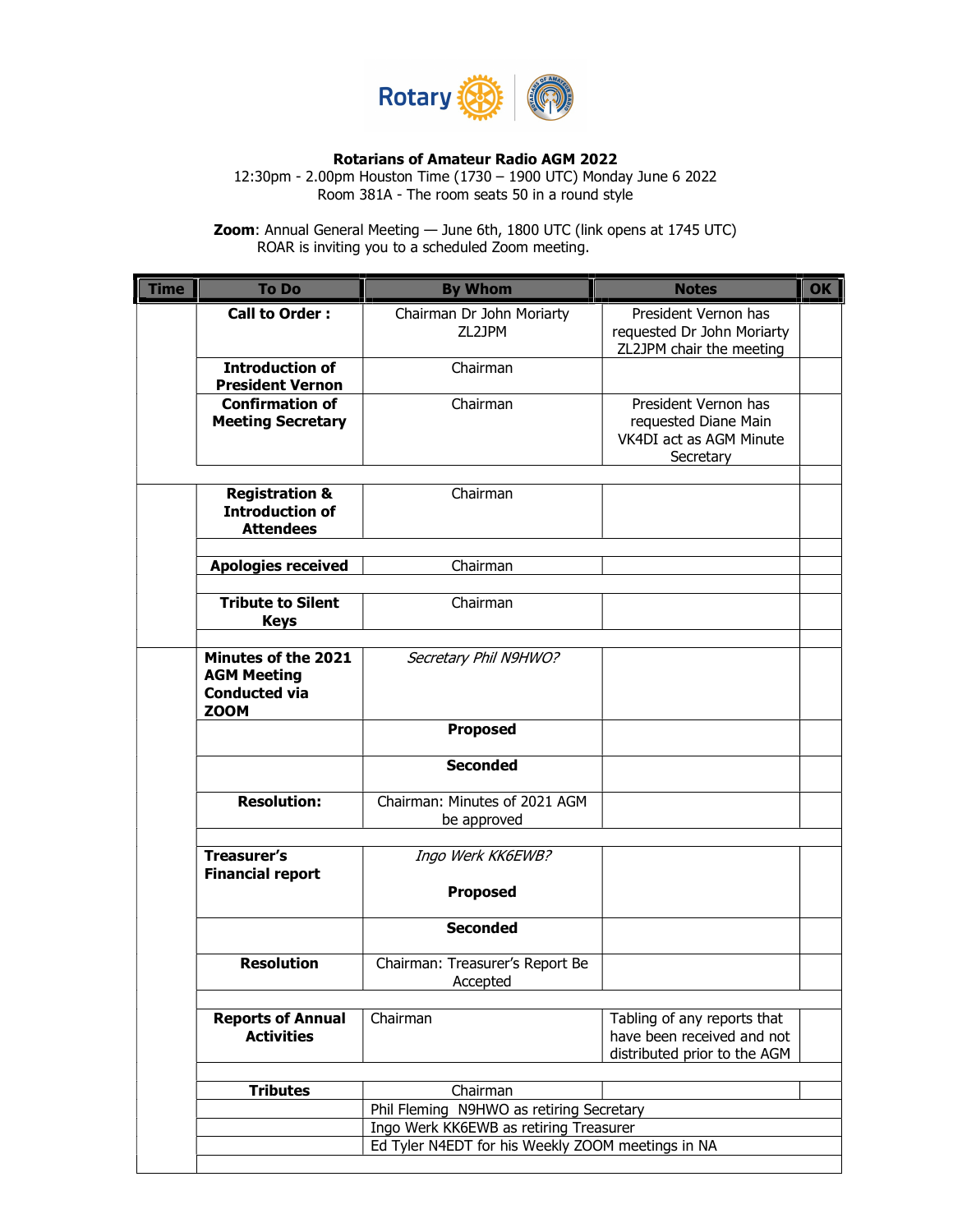

## Rotarians of Amateur Radio AGM 2022

12:30pm - 2.00pm Houston Time (1730 – 1900 UTC) Monday June 6 2022 Room 381A - The room seats 50 in a round style

**Zoom**: Annual General Meeting — June 6th, 1800 UTC (link opens at 1745 UTC) ROAR is inviting you to a scheduled Zoom meeting.

| <b>To Do</b>                                                                     | <b>By Whom</b>                                    | <b>Notes</b>                                                                              |
|----------------------------------------------------------------------------------|---------------------------------------------------|-------------------------------------------------------------------------------------------|
| <b>Call to Order:</b>                                                            | Chairman Dr John Moriarty<br>ZL2JPM               | President Vernon has<br>requested Dr John Moriarty<br>ZL2JPM chair the meeting            |
| <b>Introduction of</b><br><b>President Vernon</b>                                | Chairman                                          |                                                                                           |
| <b>Confirmation of</b><br><b>Meeting Secretary</b>                               | Chairman                                          | President Vernon has<br>requested Diane Main<br>VK4DI act as AGM Minute<br>Secretary      |
| <b>Registration &amp;</b><br><b>Introduction of</b><br><b>Attendees</b>          | Chairman                                          |                                                                                           |
| <b>Apologies received</b>                                                        | Chairman                                          |                                                                                           |
| <b>Tribute to Silent</b><br><b>Keys</b>                                          | Chairman                                          |                                                                                           |
| Minutes of the 2021<br><b>AGM Meeting</b><br><b>Conducted via</b><br><b>ZOOM</b> | Secretary Phil N9HWO?                             |                                                                                           |
|                                                                                  | <b>Proposed</b>                                   |                                                                                           |
|                                                                                  | <b>Seconded</b>                                   |                                                                                           |
| <b>Resolution:</b>                                                               | Chairman: Minutes of 2021 AGM<br>be approved      |                                                                                           |
| <b>Treasurer's</b><br><b>Financial report</b>                                    | Ingo Werk KK6EWB?<br><b>Proposed</b>              |                                                                                           |
|                                                                                  | <b>Seconded</b>                                   |                                                                                           |
| <b>Resolution</b>                                                                | Chairman: Treasurer's Report Be<br>Accepted       |                                                                                           |
| <b>Reports of Annual</b><br><b>Activities</b>                                    | Chairman                                          | Tabling of any reports that<br>have been received and not<br>distributed prior to the AGM |
| <b>Tributes</b>                                                                  | Chairman                                          |                                                                                           |
|                                                                                  | Phil Fleming N9HWO as retiring Secretary          |                                                                                           |
|                                                                                  | Ingo Werk KK6EWB as retiring Treasurer            |                                                                                           |
|                                                                                  | Ed Tyler N4EDT for his Weekly ZOOM meetings in NA |                                                                                           |